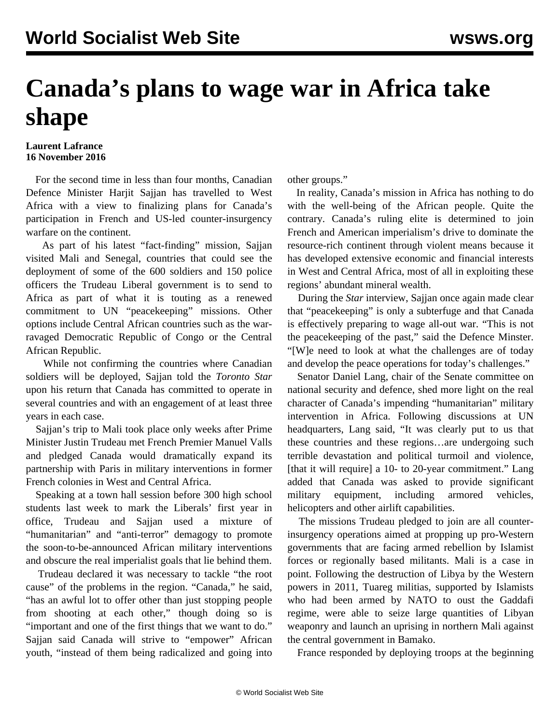## **Canada's plans to wage war in Africa take shape**

**Laurent Lafrance 16 November 2016**

 For the second time in less than four months, Canadian Defence Minister Harjit Sajjan has travelled to West Africa with a view to finalizing plans for Canada's participation in French and US-led counter-insurgency warfare on the continent.

 As part of his latest "fact-finding" mission, Sajjan visited Mali and Senegal, countries that could see the deployment of some of the 600 soldiers and 150 police officers the Trudeau Liberal government is to send to Africa as part of what it is touting as a renewed commitment to UN "peacekeeping" missions. Other options include Central African countries such as the warravaged Democratic Republic of Congo or the Central African Republic.

 While not confirming the countries where Canadian soldiers will be deployed, Sajjan told the *Toronto Star* upon his return that Canada has committed to operate in several countries and with an engagement of at least three years in each case.

 Sajjan's trip to Mali took place only weeks after Prime Minister Justin Trudeau met French Premier Manuel Valls and pledged Canada would dramatically expand its partnership with Paris in military interventions in former French colonies in West and Central Africa.

 Speaking at a town hall session before 300 high school students last week to mark the Liberals' first year in office, Trudeau and Sajjan used a mixture of "humanitarian" and "anti-terror" demagogy to promote the soon-to-be-announced African military interventions and obscure the real imperialist goals that lie behind them.

 Trudeau declared it was necessary to tackle "the root cause" of the problems in the region. "Canada," he said, "has an awful lot to offer other than just stopping people from shooting at each other," though doing so is "important and one of the first things that we want to do." Sajjan said Canada will strive to "empower" African youth, "instead of them being radicalized and going into

other groups."

 In reality, Canada's mission in Africa has nothing to do with the well-being of the African people. Quite the contrary. Canada's ruling elite is determined to join French and American imperialism's drive to dominate the resource-rich continent through violent means because it has developed extensive economic and financial interests in West and Central Africa, most of all in exploiting these regions' abundant mineral wealth.

 During the *Star* interview, Sajjan once again made clear that "peacekeeping" is only a subterfuge and that Canada is effectively preparing to wage all-out war. "This is not the peacekeeping of the past," said the Defence Minster. "[W]e need to look at what the challenges are of today and develop the peace operations for today's challenges."

 Senator Daniel Lang, chair of the Senate committee on national security and defence, shed more light on the real character of Canada's impending "humanitarian" military intervention in Africa. Following discussions at UN headquarters, Lang said, "It was clearly put to us that these countries and these regions…are undergoing such terrible devastation and political turmoil and violence, [that it will require] a 10- to 20-year commitment." Lang added that Canada was asked to provide significant military equipment, including armored vehicles, helicopters and other airlift capabilities.

 The missions Trudeau pledged to join are all counterinsurgency operations aimed at propping up pro-Western governments that are facing armed rebellion by Islamist forces or regionally based militants. Mali is a case in point. Following the destruction of Libya by the Western powers in 2011, Tuareg militias, supported by Islamists who had been armed by NATO to oust the Gaddafi regime, were able to seize large quantities of Libyan weaponry and launch an uprising in northern Mali against the central government in Bamako.

France responded by deploying troops at the beginning